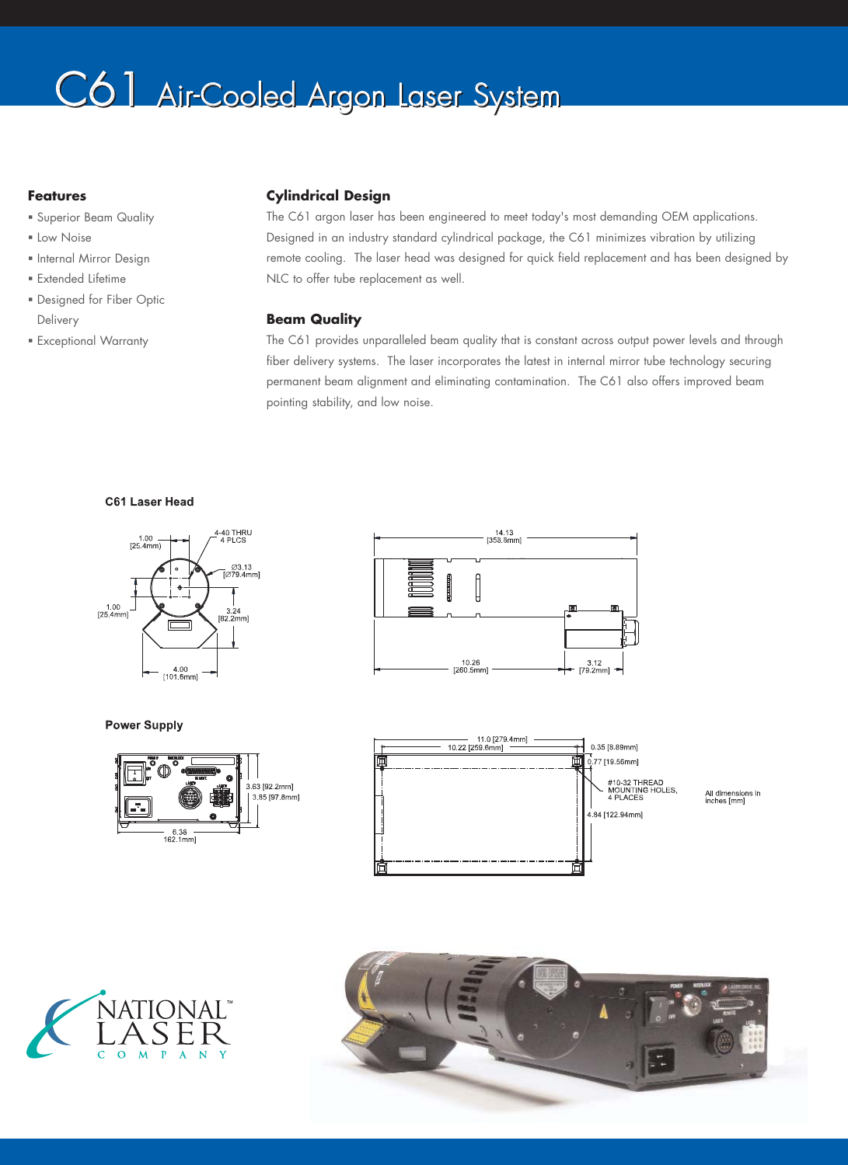# C6<sup>1</sup> Air-Cooled Argon Laser System

## **Features**

- Superior Beam Quality
- **ELow Noise**
- **Internal Mirror Design**
- Extended Lifetime
- Designed for Fiber Optic Delivery
- Exceptional Warranty

## **Cylindrical Design**

The C61 argon laser has been engineered to meet today's most demanding OEM applications. Designed in an industry standard cylindrical package, the C61 minimizes vibration by utilizing remote cooling. The laser head was designed for quick field replacement and has been designed by NLC to offer tube replacement as well.

## **Beam Quality**

The C61 provides unparalleled beam quality that is constant across output power levels and through fiber delivery systems. The laser incorporates the latest in internal mirror tube technology securing permanent beam alignment and eliminating contamination. The C61 also offers improved beam pointing stability, and low noise.

### C61 Laser Head



### **Power Supply**









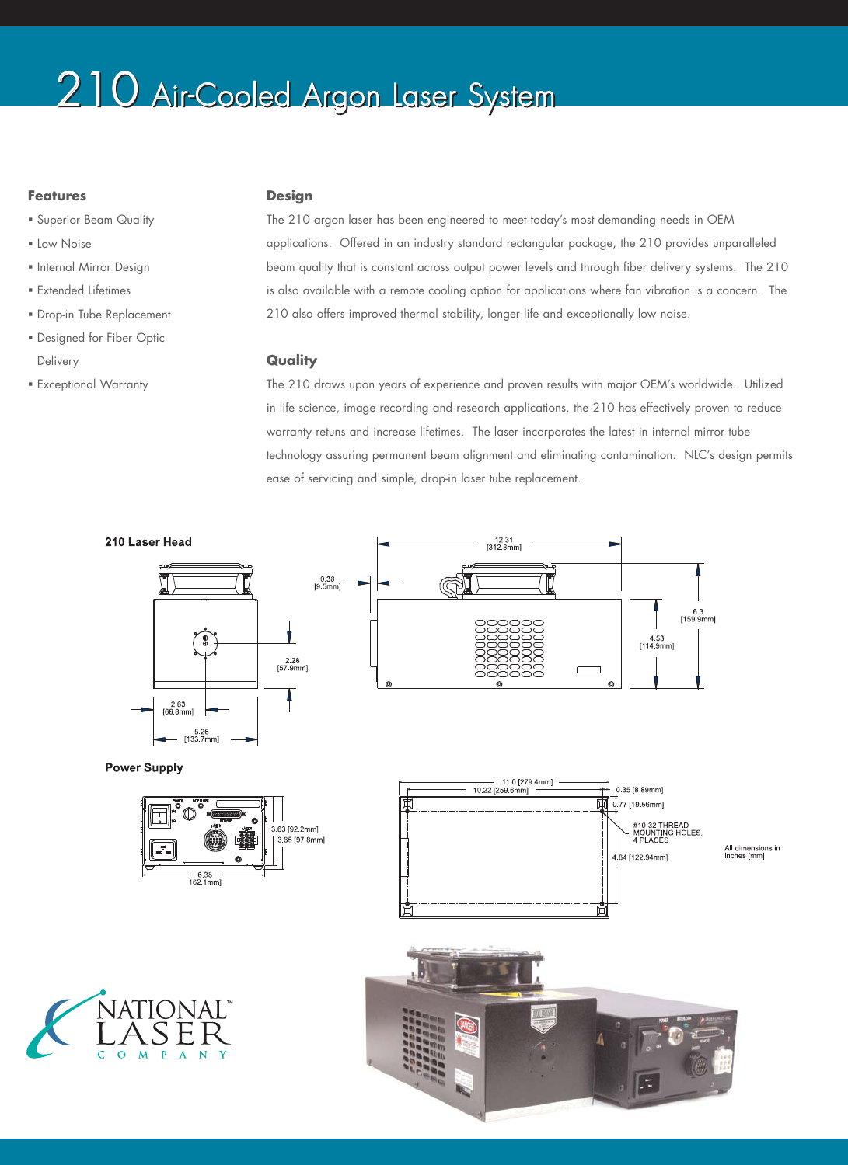## 210 Air-Cooled Argon Laser System

## **Features**

- **Superior Beam Quality**
- Low Noise
- **Internal Mirror Design**
- **Extended Lifetimes**
- Drop-in Tube Replacement
- Designed for Fiber Optic Delivery
- **Exceptional Warranty**

### **Design**

The 210 argon laser has been engineered to meet today's most demanding needs in OEM applications. Offered in an industry standard rectangular package, the 210 provides unparalleled beam quality that is constant across output power levels and through fiber delivery systems. The 210 is also available with a remote cooling option for applications where fan vibration is a concern. The 210 also offers improved thermal stability, longer life and exceptionally low noise.

### **Quality**

The 210 draws upon years of experience and proven results with major OEM's worldwide. Utilized in life science, image recording and research applications, the 210 has effectively proven to reduce warranty retuns and increase lifetimes. The laser incorporates the latest in internal mirror tube technology assuring permanent beam alignment and eliminating contamination. NLC's design permits ease of servicing and simple, drop-in laser tube replacement.

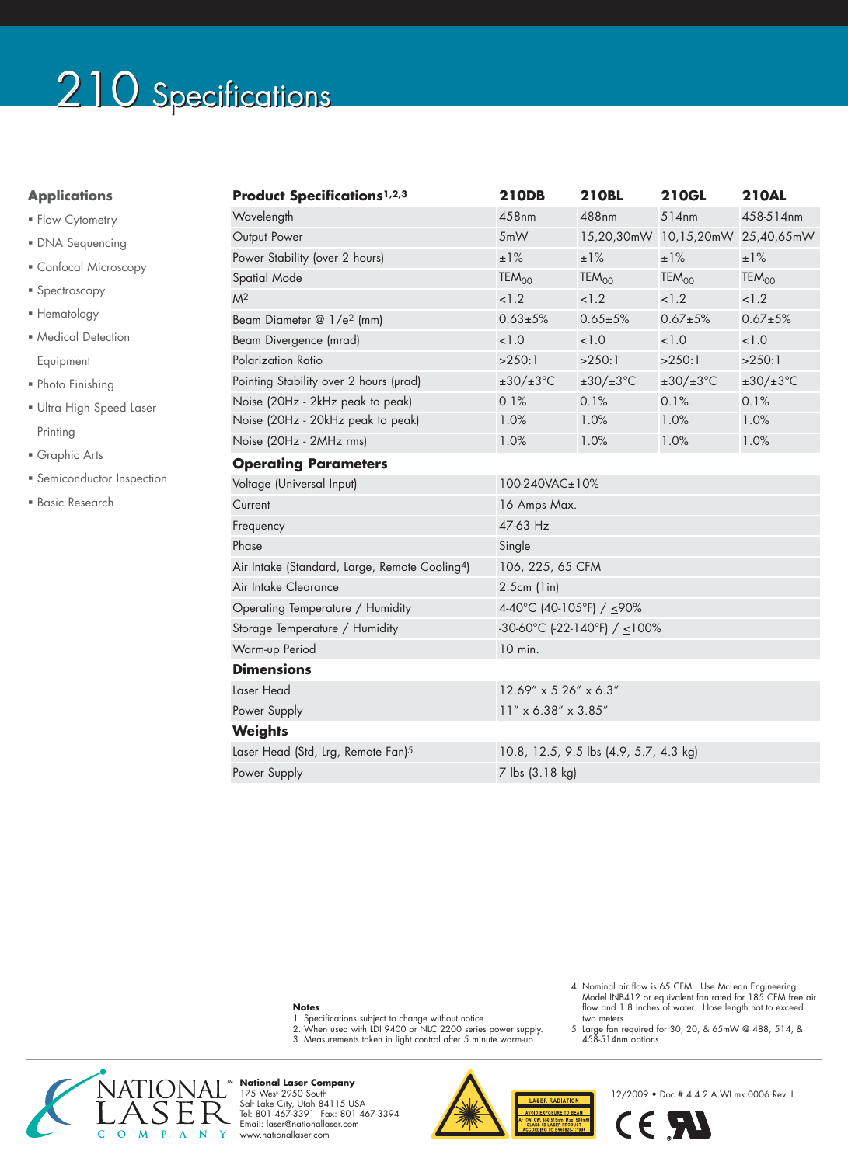# 210 Specifications

## **Applications**

- **Flow Cytometry**
- DNA Sequencing
- Confocal Microscopy
- **Spectroscopy**
- **Hematology**
- Medical Detection Equipment
- Photo Finishing
- Ultra High Speed Laser Printing
- Graphic Arts
- **Semiconductor Inspection**
- Basic Research

| <b>Product Specifications1,2,3</b>                         | <b>210DB</b>                           | <b>210BL</b>             | <b>210GL</b>                     | <b>210AL</b>             |
|------------------------------------------------------------|----------------------------------------|--------------------------|----------------------------------|--------------------------|
| Wavelength                                                 | 458nm                                  | 488nm                    | 514nm                            | 458-514nm                |
| Output Power                                               | 5mW                                    |                          | 15,20,30mW 10,15,20mW 25,40,65mW |                          |
| Power Stability (over 2 hours)                             | ±1%                                    | ±1%                      | ±1%                              | ±1%                      |
| Spatial Mode                                               | $TEM_{OO}$                             | TEM <sub>00</sub>        | TEM <sub>00</sub>                | TEM <sub>00</sub>        |
| M <sup>2</sup>                                             | 1.2                                    | 1.2                      | 1.2                              | $\leq$ 1.2               |
| Beam Diameter @ 1/e <sup>2</sup> (mm)                      | $0.63 + 5%$                            | $0.65 + 5%$              | $0.67 + 5%$                      | $0.67 + 5%$              |
| Beam Divergence (mrad)                                     | < 1.0                                  | 1.0                      | 1.0                              | < 1.0                    |
| Polarization Ratio                                         | >250:1                                 | >250:1                   | >250:1                           | >250:1                   |
| Pointing Stability over 2 hours (urad)                     | $\pm 30/\pm 3^{\circ}$ C               | $\pm 30/\pm 3^{\circ}$ C | $\pm 30/\pm 3^{\circ}$ C         | $\pm 30/\pm 3^{\circ}$ C |
| Noise (20Hz - 2kHz peak to peak)                           | 0.1%                                   | 0.1%                     | 0.1%                             | 0.1%                     |
| Noise (20Hz - 20kHz peak to peak)                          | 1.0%                                   | 1.0%                     | 1.0%                             | 1.0%                     |
| Noise (20Hz - 2MHz rms)                                    | 1.0%                                   | 1.0%                     | 1.0%                             | 1.0%                     |
| <b>Operating Parameters</b>                                |                                        |                          |                                  |                          |
| Voltage (Universal Input)                                  | 100-240VAC±10%                         |                          |                                  |                          |
| Current                                                    | 16 Amps Max.                           |                          |                                  |                          |
| Frequency                                                  | 47-63 Hz                               |                          |                                  |                          |
| Phase                                                      | Single                                 |                          |                                  |                          |
| Air Intake (Standard, Large, Remote Cooling <sup>4</sup> ) | 106, 225, 65 CFM                       |                          |                                  |                          |
| Air Intake Clearance                                       | $2.5cm$ (1in)                          |                          |                                  |                          |
| Operating Temperature / Humidity                           | 4-40°C (40-105°F) / ≤90%               |                          |                                  |                          |
| Storage Temperature / Humidity                             | -30-60°C (-22-140°F) / $\leq$ 100%     |                          |                                  |                          |
| Warm-up Period                                             | 10 min.                                |                          |                                  |                          |
| <b>Dimensions</b>                                          |                                        |                          |                                  |                          |
| Laser Head                                                 | $12.69'' \times 5.26'' \times 6.3''$   |                          |                                  |                          |
| Power Supply                                               | $11'' \times 6.38'' \times 3.85''$     |                          |                                  |                          |
| <b>Weights</b>                                             |                                        |                          |                                  |                          |
| Laser Head (Std, Lrg, Remote Fan) <sup>5</sup>             | 10.8, 12.5, 9.5 lbs (4.9, 5.7, 4.3 kg) |                          |                                  |                          |
| Power Supply                                               | 7 lbs (3.18 kg)                        |                          |                                  |                          |

#### **Notes**

- 
- 
- 1. Specifications subject to change without notice. 2. When used with LDI 9400 or NLC 2200 series power supply. 3. Measurements taken in light control after 5 minute warm-up.
- NAT<br>I A 'IONAL™  $C$  O  $M$  P  $A$  N  $\mathbf{Y}$

**National Laser Company**<br>175 West 2950 South<br>Salt Lake City, Utah 84115 USA<br>Tel: 801 467-3391 Fax: 801 467-3394<br>Email: laser@nationallaser.com<br>www.nationallaser.com



- 4. Nominal air flow is 65 CFM. Use McLean Engineering Model INB412 or equivalent fan rated for 185 CFM free air flow and 1.8 inches of water. Hose length not to exceed two meters.
- 5. Large fan required for 30, 20, & 65mW @ 488, 514, & 458-514nm options.

12/2009 • Doc # 4.4.2.A.WI.mk.0006 Rev. I

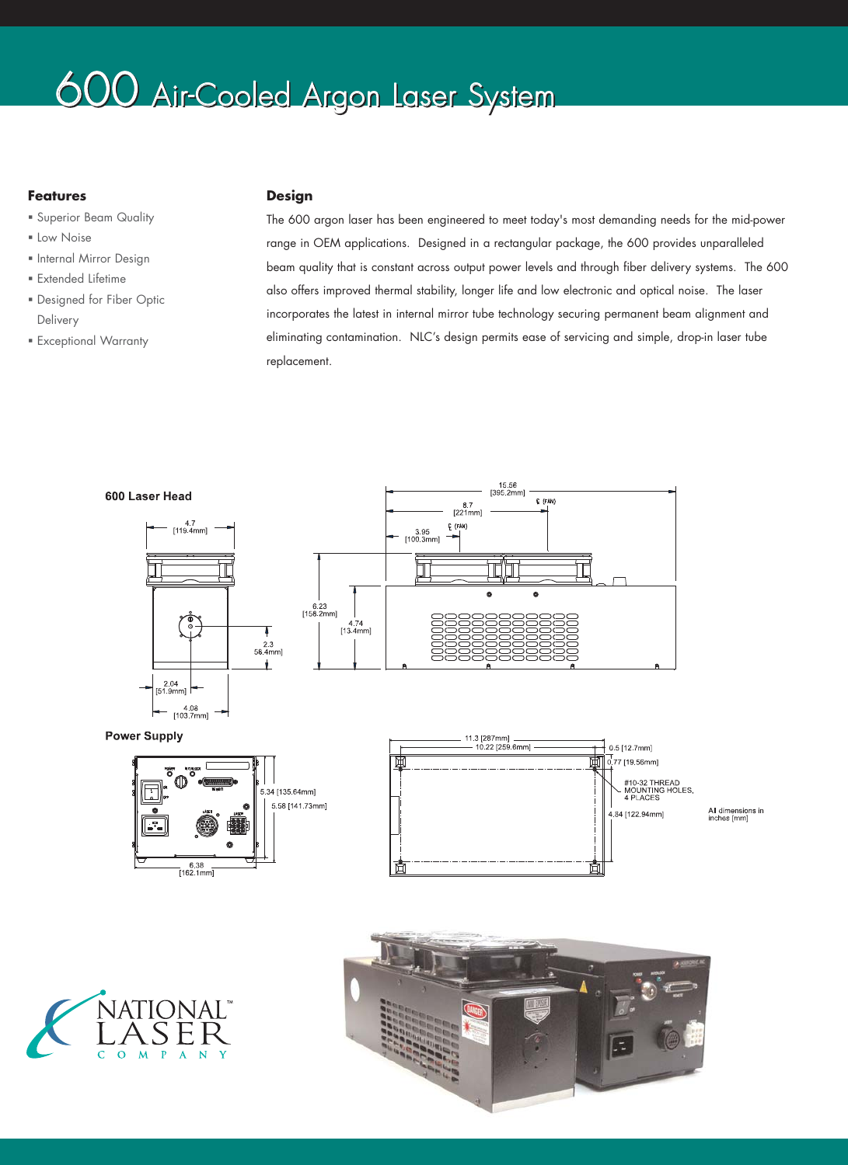## 600 Air-Cooled Argon Laser System

## **Features**

- Superior Beam Quality
- **ELow Noise**
- **Internal Mirror Design**
- Extended Lifetime
- Designed for Fiber Optic Delivery
- Exceptional Warranty

## **Design**

The 600 argon laser has been engineered to meet today's most demanding needs for the mid-power range in OEM applications. Designed in a rectangular package, the 600 provides unparalleled beam quality that is constant across output power levels and through fiber delivery systems. The 600 also offers improved thermal stability, longer life and low electronic and optical noise. The laser incorporates the latest in internal mirror tube technology securing permanent beam alignment and eliminating contamination. NLC's design permits ease of servicing and simple, drop-in laser tube replacement.

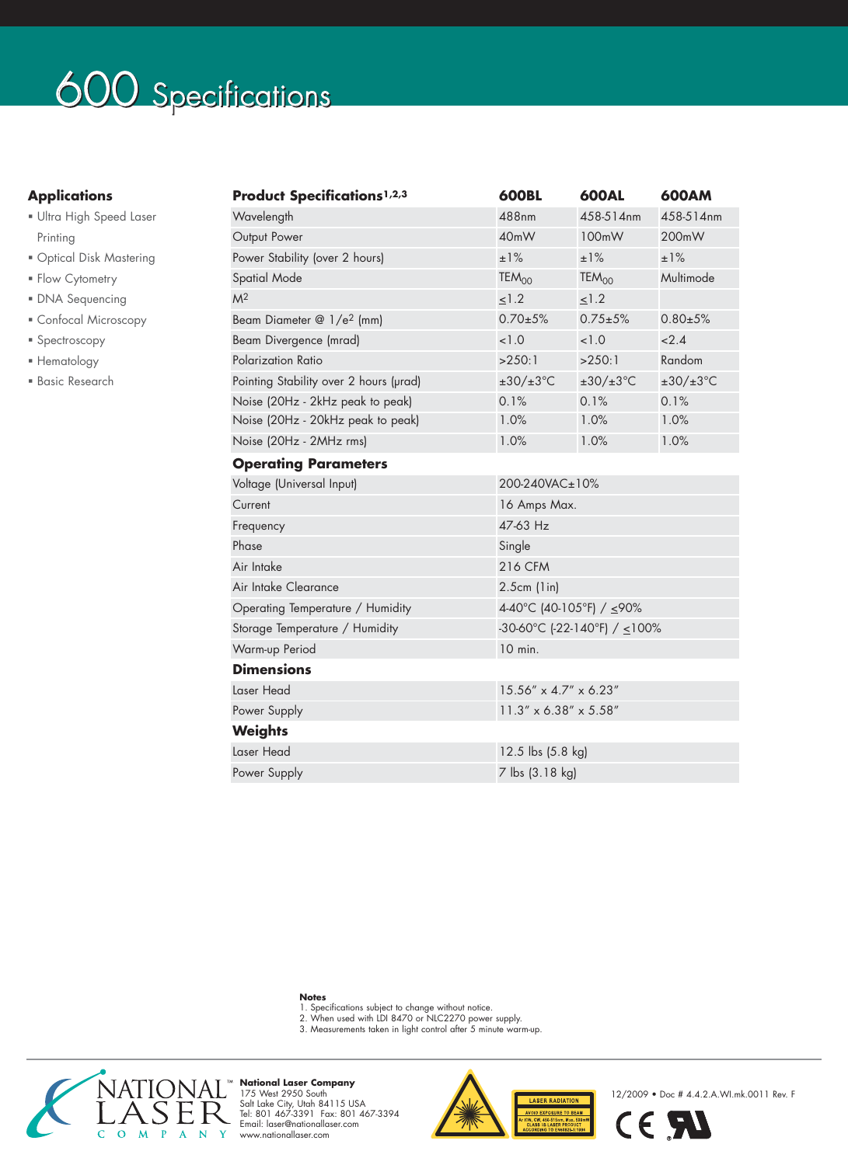# 600 Specifications

## **Applications**

- Ultra High Speed Laser Printing
- Optical Disk Mastering
- **Flow Cytometry**
- DNA Sequencing
- Confocal Microscopy
- **Spectroscopy**
- Hematology
- Basic Research

| <b>Product Specifications1,2,3</b>     | <b>600BL</b>                         | <b>600AL</b>             | 600AM                    |  |  |
|----------------------------------------|--------------------------------------|--------------------------|--------------------------|--|--|
| Wavelength                             | 488nm                                | 458-514nm                | 458-514nm                |  |  |
| Output Power                           | 40mW                                 | 100mW                    | 200mW                    |  |  |
| Power Stability (over 2 hours)         | ±1%                                  | ±1%                      | ±1%                      |  |  |
| <b>Spatial Mode</b>                    | TEM <sub>00</sub>                    | TEM <sub>OO</sub>        | Multimode                |  |  |
| M <sup>2</sup>                         | $\leq$ 1.2                           | $\leq$ 1.2               |                          |  |  |
| Beam Diameter @ 1/e <sup>2</sup> (mm)  | $0.70 \pm 5\%$                       | $0.75 + 5%$              | $0.80 + 5%$              |  |  |
| Beam Divergence (mrad)                 | < 1.0                                | < 1.0                    | 2.4                      |  |  |
| Polarization Ratio                     | >250:1                               | >250:1                   | Random                   |  |  |
| Pointing Stability over 2 hours (urad) | $\pm 30/\pm 3^{\circ}$ C             | $\pm 30/\pm 3^{\circ}$ C | $\pm 30/\pm 3^{\circ}$ C |  |  |
| Noise (20Hz - 2kHz peak to peak)       | 0.1%                                 | 0.1%                     | 0.1%                     |  |  |
| Noise (20Hz - 20kHz peak to peak)      | 1.0%                                 | 1.0%                     | 1.0%                     |  |  |
| Noise (20Hz - 2MHz rms)                | 1.0%                                 | 1.0%                     | 1.0%                     |  |  |
| <b>Operating Parameters</b>            |                                      |                          |                          |  |  |
| Voltage (Universal Input)              | 200-240VAC±10%                       |                          |                          |  |  |
| Current                                | 16 Amps Max.                         |                          |                          |  |  |
| Frequency                              | 47-63 Hz                             |                          |                          |  |  |
| Phase                                  | Single                               |                          |                          |  |  |
| Air Intake                             | <b>216 CFM</b>                       |                          |                          |  |  |
| Air Intake Clearance                   | $2.5cm$ (1in)                        |                          |                          |  |  |
| Operating Temperature / Humidity       | 4-40°C (40-105°F) / ≤90%             |                          |                          |  |  |
| Storage Temperature / Humidity         | -30-60°C (-22-140°F) / $\leq$ 100%   |                          |                          |  |  |
| Warm-up Period                         | 10 min.                              |                          |                          |  |  |
| <b>Dimensions</b>                      |                                      |                          |                          |  |  |
| Laser Head                             | $15.56'' \times 4.7'' \times 6.23''$ |                          |                          |  |  |
| Power Supply                           | $11.3'' \times 6.38'' \times 5.58''$ |                          |                          |  |  |
| <b>Weights</b>                         |                                      |                          |                          |  |  |
| Laser Head                             | 12.5 lbs (5.8 kg)                    |                          |                          |  |  |
| Power Supply                           | 7 lbs (3.18 kg)                      |                          |                          |  |  |
|                                        |                                      |                          |                          |  |  |

- 
- **Notes**<br>1. Specifications subject to change without notice.<br>2. When used with LDI 8470 or NLC2270 power supply.<br>3. Measurements taken in light control after 5 minute warm-up.
- 



**National Laser Company**<br>175 West 2950 South<br>Salt Lake City, Utah 84115 USA<br>Tel: 801 467-3391 Fax: 801 467-3394<br>Email: laser@nationallaser.com<br>www.nationallaser.com



12/2009 • Doc # 4.4.2.A.WI.mk.0011 Rev. F

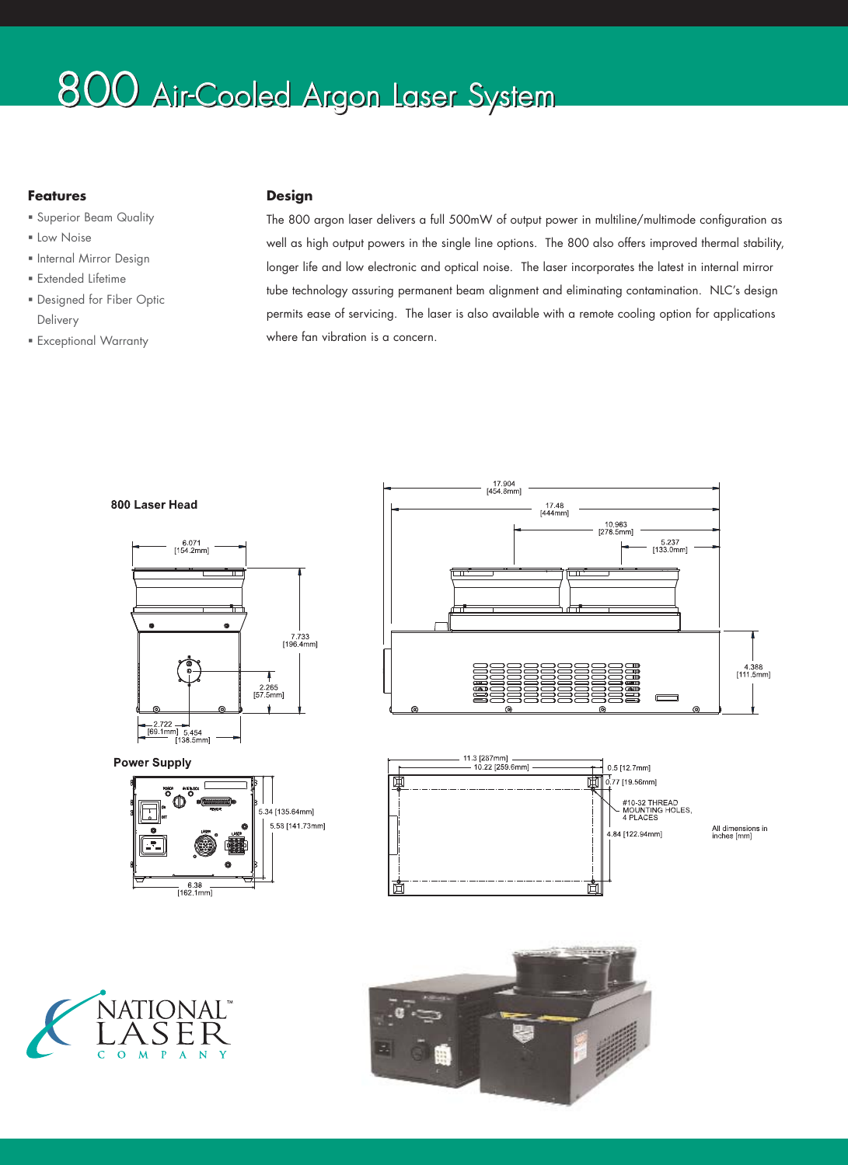## 800 Air-Cooled Argon Laser System

## **Features**

- Superior Beam Quality
- **ELow Noise**
- **Internal Mirror Design**
- Extended Lifetime
- Designed for Fiber Optic Delivery
- Exceptional Warranty

## **Design**

The 800 argon laser delivers a full 500mW of output power in multiline/multimode configuration as well as high output powers in the single line options. The 800 also offers improved thermal stability, longer life and low electronic and optical noise. The laser incorporates the latest in internal mirror tube technology assuring permanent beam alignment and eliminating contamination. NLC's design permits ease of servicing. The laser is also available with a remote cooling option for applications where fan vibration is a concern.





**Power Supply**